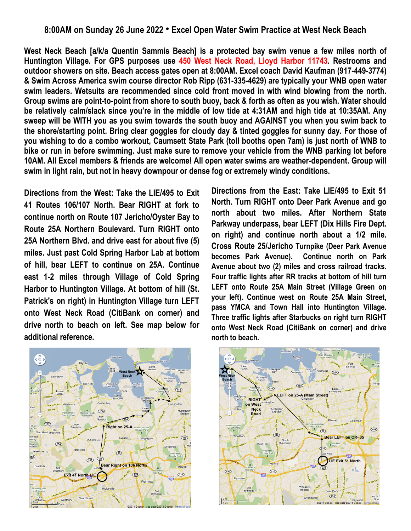## **8:00AM on Sunday 26 June 2022 ● Excel Open Water Swim Practice at West Neck Beach**

**West Neck Beach [a/k/a Quentin Sammis Beach] is a protected bay swim venue a few miles north of Huntington Village. For GPS purposes use 450 West Neck Road, Lloyd Harbor 11743. Restrooms and outdoor showers on site. Beach access gates open at 8:00AM. Excel coach David Kaufman (917-449-3774) & Swim Across America swim course director Rob Ripp (631-335-4629) are typically your WNB open water swim leaders. Wetsuits are recommended since cold front moved in with wind blowing from the north. Group swims are point-to-point from shore to south buoy, back & forth as often as you wish. Water should be relatively calm/slack since you're in the middle of low tide at 4:31AM and high tide at 10:35AM. Any sweep will be WITH you as you swim towards the south buoy and AGAINST you when you swim back to the shore/starting point. Bring clear goggles for cloudy day & tinted goggles for sunny day. For those of you wishing to do a combo workout, Caumsett State Park (toll booths open 7am) is just north of WNB to bike or run in before swimming. Just make sure to remove your vehicle from the WNB parking lot before 10AM. All Excel members & friends are welcome! All open water swims are weather-dependent. Group will swim in light rain, but not in heavy downpour or dense fog or extremely windy conditions.**

**Directions from the West: Take the LIE/495 to Exit 41 Routes 106/107 North. Bear RIGHT at fork to continue north on Route 107 Jericho/Oyster Bay to Route 25A Northern Boulevard. Turn RIGHT onto 25A Northern Blvd. and drive east for about five (5) miles. Just past Cold Spring Harbor Lab at bottom of hill, bear LEFT to continue on 25A. Continue east 1-2 miles through Village of Cold Spring Harbor to Huntington Village. At bottom of hill (St. Patrick's on right) in Huntington Village turn LEFT onto West Neck Road (CitiBank on corner) and drive north to beach on left. See map below for additional reference.** 

**Directions from the East: Take LIE/495 to Exit 51 North. Turn RIGHT onto Deer Park Avenue and go north about two miles. After Northern State Parkway underpass, bear LEFT (Dix Hills Fire Dept. on right) and continue north about a 1/2 mile. Cross Route 25/Jericho Turnpike (Deer Park Avenue becomes Park Avenue). Continue north on Park Avenue about two (2) miles and cross railroad tracks. Four traffic lights after RR tracks at bottom of hill turn LEFT onto Route 25A Main Street (Village Green on your left). Continue west on Route 25A Main Street, pass YMCA and Town Hall into Huntington Village. Three traffic lights after Starbucks on right turn RIGHT onto West Neck Road (CitiBank on corner) and drive north to beach.**